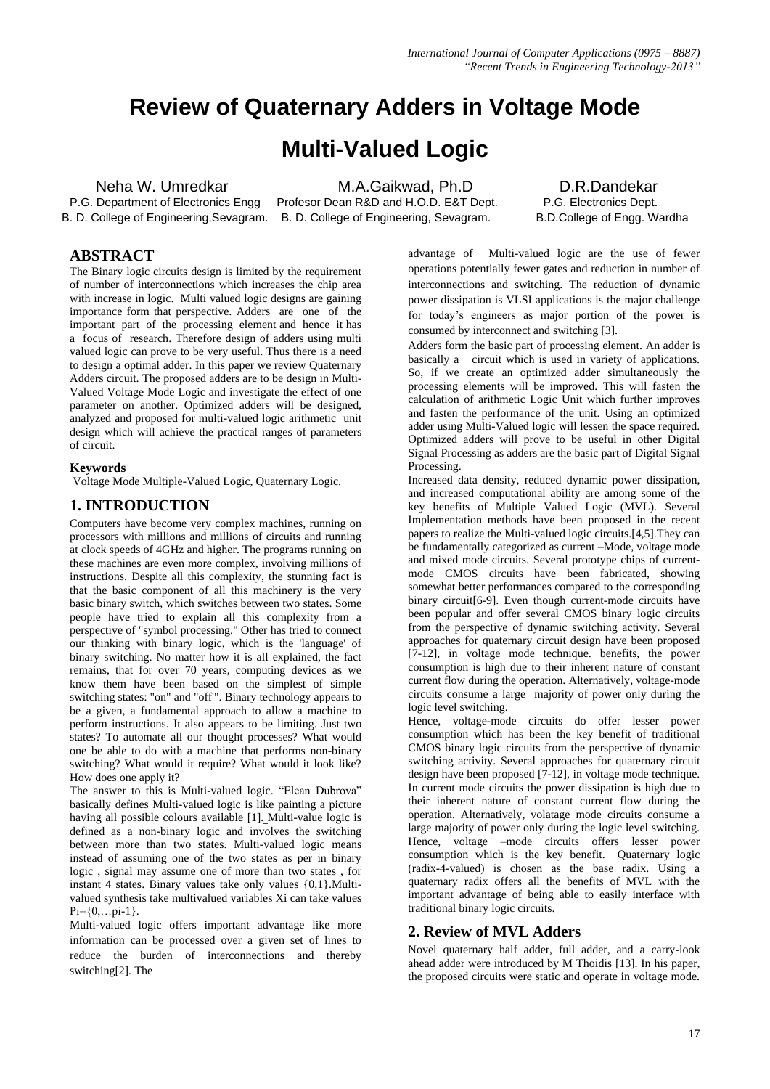# **Review of Quaternary Adders in Voltage Mode**

## **Multi-Valued Logic**

**1990 Neha W. Umredkar M.A.Gaikwad, Ph.D D.R.Dandekar P.G. Department of Electronics Engg Profesor Dean R&D and H.O.D. E&T Dept. P.G. Electronics Dept.** Profesor Dean R&D and H.O.D. E&T Dept. B. D. College of Engineering,Sevagram. B. D. College of Engineering, Sevagram. B.D.College of Engg. Wardha

## **ABSTRACT**

The Binary logic circuits design is limited by the requirement of number of interconnections which increases the chip area with increase in logic. Multi valued logic designs are gaining importance form that perspective. Adders are one of the important part of the processing element and hence it has a focus of research. Therefore design of adders using multi valued logic can prove to be very useful. Thus there is a need to design a optimal adder. In this paper we review Quaternary Adders circuit. The proposed adders are to be design in Multi-Valued Voltage Mode Logic and investigate the effect of one parameter on another. Optimized adders will be designed, analyzed and proposed for multi-valued logic arithmetic unit design which will achieve the practical ranges of parameters of circuit.

### **Keywords**

Voltage Mode Multiple-Valued Logic, Quaternary Logic.

## **1. INTRODUCTION**

Computers have become very complex machines, running on processors with millions and millions of circuits and running at clock speeds of 4GHz and higher. The programs running on these machines are even more complex, involving millions of instructions. Despite all this complexity, the stunning fact is that the basic component of all this machinery is the very basic binary switch, which switches between two states. Some people have tried to explain all this complexity from a perspective of "symbol processing." Other has tried to connect our thinking with binary logic, which is the 'language' of binary switching. No matter how it is all explained, the fact remains, that for over 70 years, computing devices as we know them have been based on the simplest of simple switching states: "on" and "off'". Binary technology appears to be a given, a fundamental approach to allow a machine to perform instructions. It also appears to be limiting. Just two states? To automate all our thought processes? What would one be able to do with a machine that performs non-binary switching? What would it require? What would it look like? How does one apply it?

The answer to this is Multi-valued logic. "Elean Dubrova" basically defines Multi-valued logic is like painting a picture having all possible colours available [1]. Multi-value logic is defined as a non-binary logic and involves the switching between more than two states. Multi-valued logic means instead of assuming one of the two states as per in binary logic , signal may assume one of more than two states , for instant 4 states. Binary values take only values {0,1}.Multivalued synthesis take multivalued variables Xi can take values  $Pi = \{0, \ldots, pi-1\}.$ 

Multi-valued logic offers important advantage like more information can be processed over a given set of lines to reduce the burden of interconnections and thereby switching[2]. The

advantage of Multi-valued logic are the use of fewer operations potentially fewer gates and reduction in number of interconnections and switching. The reduction of dynamic power dissipation is VLSI applications is the major challenge for today's engineers as major portion of the power is consumed by interconnect and switching [3].

Adders form the basic part of processing element. An adder is basically a circuit which is used in variety of applications. So, if we create an optimized adder simultaneously the processing elements will be improved. This will fasten the calculation of arithmetic Logic Unit which further improves and fasten the performance of the unit. Using an optimized adder using Multi-Valued logic will lessen the space required. Optimized adders will prove to be useful in other Digital Signal Processing as adders are the basic part of Digital Signal Processing.

Increased data density, reduced dynamic power dissipation, and increased computational ability are among some of the key benefits of Multiple Valued Logic (MVL). Several Implementation methods have been proposed in the recent papers to realize the Multi-valued logic circuits.[4,5].They can be fundamentally categorized as current –Mode, voltage mode and mixed mode circuits. Several prototype chips of currentmode CMOS circuits have been fabricated, showing somewhat better performances compared to the corresponding binary circuit[6-9]. Even though current-mode circuits have been popular and offer several CMOS binary logic circuits from the perspective of dynamic switching activity. Several approaches for quaternary circuit design have been proposed [7-12], in voltage mode technique. benefits, the power consumption is high due to their inherent nature of constant current flow during the operation. Alternatively, voltage-mode circuits consume a large majority of power only during the logic level switching.

Hence, voltage-mode circuits do offer lesser power consumption which has been the key benefit of traditional CMOS binary logic circuits from the perspective of dynamic switching activity. Several approaches for quaternary circuit design have been proposed [7-12], in voltage mode technique. In current mode circuits the power dissipation is high due to their inherent nature of constant current flow during the operation. Alternatively, volatage mode circuits consume a large majority of power only during the logic level switching. Hence, voltage –mode circuits offers lesser power consumption which is the key benefit. Quaternary logic (radix-4-valued) is chosen as the base radix. Using a quaternary radix offers all the benefits of MVL with the important advantage of being able to easily interface with traditional binary logic circuits.

## **2. Review of MVL Adders**

Novel quaternary half adder, full adder, and a carry-look ahead adder were introduced by M Thoidis [13]. In his paper, the proposed circuits were static and operate in voltage mode.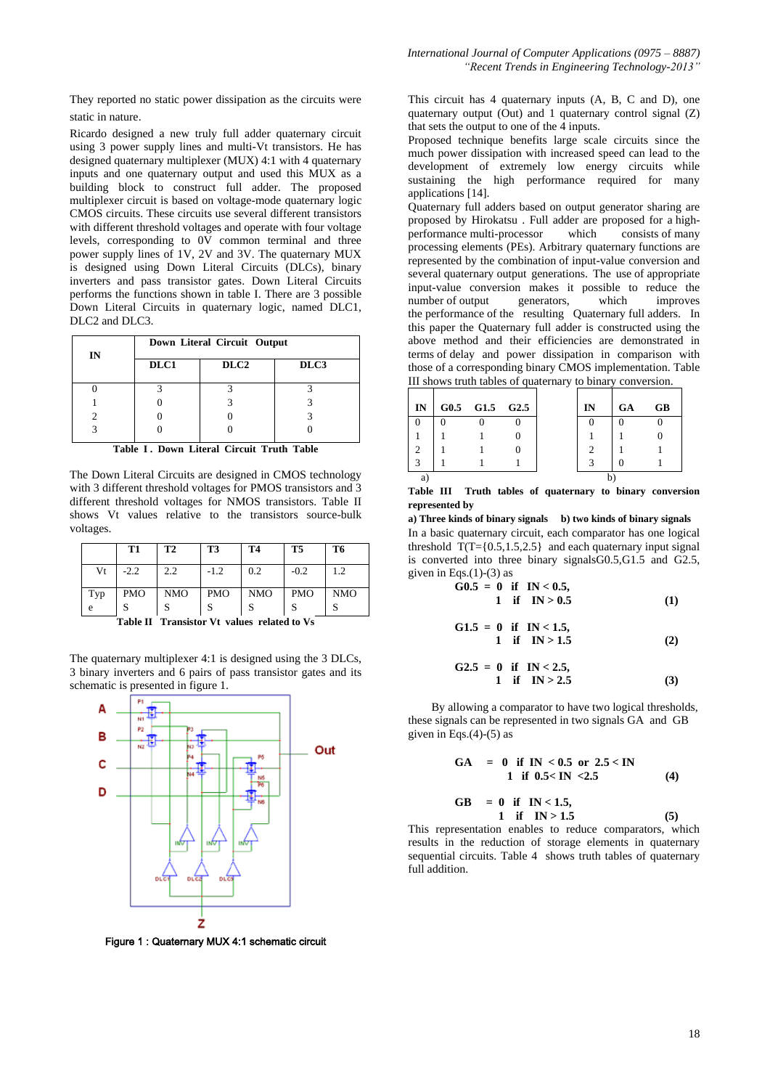They reported no static power dissipation as the circuits were static in nature.

Ricardo designed a new truly full adder quaternary circuit using 3 power supply lines and multi-Vt transistors. He has designed quaternary multiplexer (MUX) 4:1 with 4 quaternary inputs and one quaternary output and used this MUX as a building block to construct full adder. The proposed multiplexer circuit is based on voltage-mode quaternary logic CMOS circuits. These circuits use several different transistors with different threshold voltages and operate with four voltage levels, corresponding to 0V common terminal and three power supply lines of 1V, 2V and 3V. The quaternary MUX is designed using Down Literal Circuits (DLCs), binary inverters and pass transistor gates. Down Literal Circuits performs the functions shown in table I. There are 3 possible Down Literal Circuits in quaternary logic, named DLC1, DLC2 and DLC3.

| IN | Down Literal Circuit Output |                  |      |  |  |  |  |  |  |
|----|-----------------------------|------------------|------|--|--|--|--|--|--|
|    | DLC1                        | DLC <sub>2</sub> | DLC3 |  |  |  |  |  |  |
|    |                             |                  |      |  |  |  |  |  |  |
|    |                             |                  |      |  |  |  |  |  |  |
|    |                             |                  |      |  |  |  |  |  |  |
|    |                             |                  |      |  |  |  |  |  |  |

Table I. Down Literal Circuit Truth Table

The Down Literal Circuits are designed in CMOS technology with 3 different threshold voltages for PMOS transistors and 3 different threshold voltages for NMOS transistors. Table II shows Vt values relative to the transistors source-bulk voltages.

|     | T1         | <b>T2</b>  | T3         | <b>T4</b>  | T5         | T6         |
|-----|------------|------------|------------|------------|------------|------------|
| Vt  | $-2.2$     | 2.2        | $-1.2$     | 0.2        | $-0.2$     | 1.2        |
| Typ | <b>PMO</b> | <b>NMO</b> | <b>PMO</b> | <b>NMO</b> | <b>PMO</b> | <b>NMO</b> |
| e   |            |            |            |            |            |            |

**Table II Transistor Vt values related to Vs**

The quaternary multiplexer 4:1 is designed using the 3 DLCs, 3 binary inverters and 6 pairs of pass transistor gates and its schematic is presented in figure 1.



Figure 1 : Quaternary MUX 4:1 schematic circuit

This circuit has 4 quaternary inputs (A, B, C and D), one quaternary output (Out) and 1 quaternary control signal (Z) that sets the output to one of the 4 inputs.

Proposed technique benefits large scale circuits since the much power dissipation with increased speed can lead to the development of extremely low energy circuits while sustaining the high performance required for many applications [14].

Quaternary full adders based on output generator sharing are proposed by Hirokatsu . Full adder are proposed for a highperformance multi-processor processing elements (PEs). Arbitrary quaternary functions are represented by the combination of input-value conversion and several quaternary output generations. The use of appropriate input-value conversion makes it possible to reduce the number of output generators, which improves the performance of the resulting Quaternary full adders. In this paper the Quaternary full adder is constructed using the above method and their efficiencies are demonstrated in terms of delay and power dissipation in comparison with those of a corresponding binary CMOS implementation. Table III shows truth tables of quaternary to binary conversion.

| IN | G0.5 G1.5 G2.5 |  | IN | <b>GA</b> | <b>GB</b> |
|----|----------------|--|----|-----------|-----------|
|    |                |  |    |           |           |
|    |                |  |    |           |           |
| ာ  |                |  |    |           |           |
| 3  |                |  |    |           |           |
| a  |                |  |    |           |           |

**Table III Truth tables of quaternary to binary conversion represented by**

**a) Three kinds of binary signals b) two kinds of binary signals** In a basic quaternary circuit, each comparator has one logical threshold  $T(T=\{0.5,1.5,2.5\}$  and each quaternary input signal is converted into three binary signalsG0.5,G1.5 and G2.5, given in Eqs. $(1)-(3)$  as

$$
\hat{G}0.5 = 0 \text{ if } IN < 0.5,1 \text{ if } IN > 0.5
$$
 (1)

$$
G1.5 = 0 \text{ if } IN < 1.5,1 \text{ if } IN > 1.5
$$
 (2)

$$
G2.5 = 0 \text{ if } IN < 2.5,1 \text{ if } IN > 2.5
$$
 (3)

 By allowing a comparator to have two logical thresholds, these signals can be represented in two signals GA and GB given in Eqs. $(4)-(5)$  as

$$
GA = 0 \text{ if } IN < 0.5 \text{ or } 2.5 < IN
$$
  
1 if  $0.5 < IN < 2.5$  (4)

GB = 0 if IN 
$$
< 1.5
$$
,  
1 if IN > 1.5 (5)

This representation enables to reduce comparators, which results in the reduction of storage elements in quaternary sequential circuits. Table 4 shows truth tables of quaternary full addition.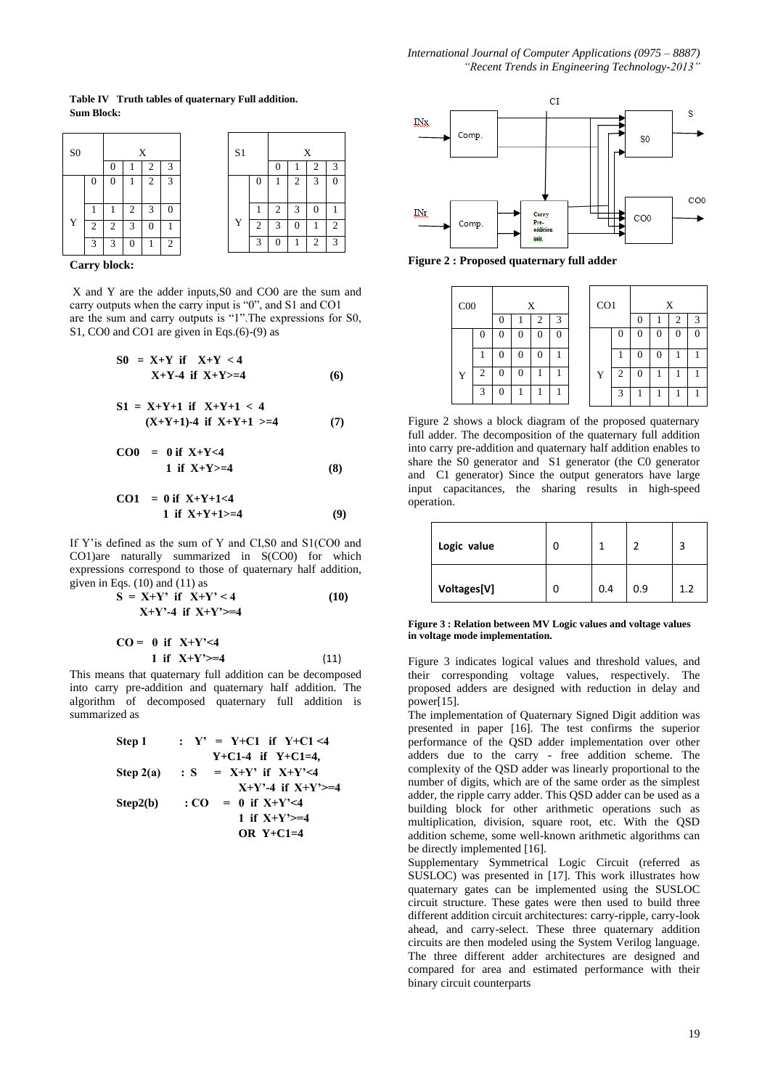**Table IV Truth tables of quaternary Full addition. Sum Block:**

| S <sub>0</sub> |   |   |   | X |                | S1 |                | X |   |   |               |
|----------------|---|---|---|---|----------------|----|----------------|---|---|---|---------------|
|                |   |   |   |   | 3              |    |                |   |   |   |               |
|                | 0 | 0 |   | 2 | 3              |    | $\overline{0}$ | 1 | 2 | 3 |               |
|                |   |   | 2 | 3 | 0              |    |                | 2 | 3 | 0 |               |
| Y              | ↑ | ◠ | 3 |   |                | Y  | $\mathcal{D}$  | 3 |   |   | ↑             |
|                | 3 | 3 | 0 |   | $\overline{c}$ |    | 3              | 0 |   | 2 | $\mathcal{R}$ |

**Carry block:**

X and Y are the adder inputs,S0 and CO0 are the sum and carry outputs when the carry input is "0", and S1 and CO1 are the sum and carry outputs is "1".The expressions for S0, S1, CO0 and CO1 are given in Eqs.(6)-(9) as

$$
SO = X+Y \text{ if } X+Y < 4
$$
  
 
$$
X+Y-4 \text{ if } X+Y>=4
$$
 (6)

$$
S1 = X+Y+1 \text{ if } X+Y+1 < 4
$$
\n
$$
(X+Y+1)-4 \text{ if } X+Y+1 >=4 \tag{7}
$$

$$
CO0 = 0 \text{ if } X+Y<4 1 \text{ if } X+Y>=4
$$
 (8)

$$
CO1 = 0 \text{ if } X+Y+1<4
$$
  
1 if  $X+Y+1>=4$  (9)

If Y'is defined as the sum of Y and CI,S0 and S1(CO0 and CO1)are naturally summarized in S(CO0) for which expressions correspond to those of quaternary half addition, given in Eqs.  $(10)$  and  $(11)$  as

$$
S = X+Y' \text{ if } X+Y' < 4
$$
  
 
$$
X+Y'-4 \text{ if } X+Y'>=4
$$
  
 
$$
CQ = 0 \text{ if } Y+Y' < 4
$$
 (10)

$$
1 \text{ if } X+Y' \geq 4
$$
 (11)

This means that quaternary full addition can be decomposed into carry pre-addition and quaternary half addition. The algorithm of decomposed quaternary full addition is summarized as

> **Step 1** :  $Y' = Y+C1$  if  $Y+C1 < 4$  **Y+C1-4 if Y+C1=4, Step 2(a)** : **S** =  $X+Y'$  if  $X+Y' < 4$  **X+Y'-4 if X+Y'>=4 Step2(b)** :  $CO = 0$  if  $X+Y' < 4$ 1 if  $X+Y'>=4$  **OR Y+C1=4**



**Figure 2 : Proposed quaternary full adder**

| C <sub>00</sub> |   | X            |   |   |   | CO <sub>1</sub> |          | X |              |   |  |
|-----------------|---|--------------|---|---|---|-----------------|----------|---|--------------|---|--|
|                 |   |              |   | 2 | 3 |                 |          |   |              |   |  |
|                 | 0 | 0            |   |   | 0 |                 | $\Omega$ | 0 | $\mathbf{0}$ | 0 |  |
|                 |   |              | 0 |   |   |                 |          | 0 | 0            |   |  |
| Y               | 2 | $\mathbf{0}$ |   |   |   | Y               | 2        | 0 |              |   |  |
|                 | 3 | 0            | 1 |   |   |                 | 3        |   | 1            |   |  |

Figure 2 shows a block diagram of the proposed quaternary full adder. The decomposition of the quaternary full addition into carry pre-addition and quaternary half addition enables to share the S0 generator and S1 generator (the C0 generator and C1 generator) Since the output generators have large input capacitances, the sharing results in high-speed operation.

| Logic value |     |     |     |
|-------------|-----|-----|-----|
| Voltages[V] | 0.4 | 0.9 | 1.2 |

**Figure 3 : Relation between MV Logic values and voltage values in voltage mode implementation.**

Figure 3 indicates logical values and threshold values, and their corresponding voltage values, respectively. The proposed adders are designed with reduction in delay and power[15].

The implementation of Quaternary Signed Digit addition was presented in paper [16]. The test confirms the superior performance of the QSD adder implementation over other adders due to the carry - free addition scheme. The complexity of the QSD adder was linearly proportional to the number of digits, which are of the same order as the simplest adder, the ripple carry adder. This QSD adder can be used as a building block for other arithmetic operations such as multiplication, division, square root, etc. With the QSD addition scheme, some well-known arithmetic algorithms can be directly implemented [16].

Supplementary Symmetrical Logic Circuit (referred as SUSLOC) was presented in [17]. This work illustrates how quaternary gates can be implemented using the SUSLOC circuit structure. These gates were then used to build three different addition circuit architectures: carry-ripple, carry-look ahead, and carry-select. These three quaternary addition circuits are then modeled using the System Verilog language. The three different adder architectures are designed and compared for area and estimated performance with their binary circuit counterparts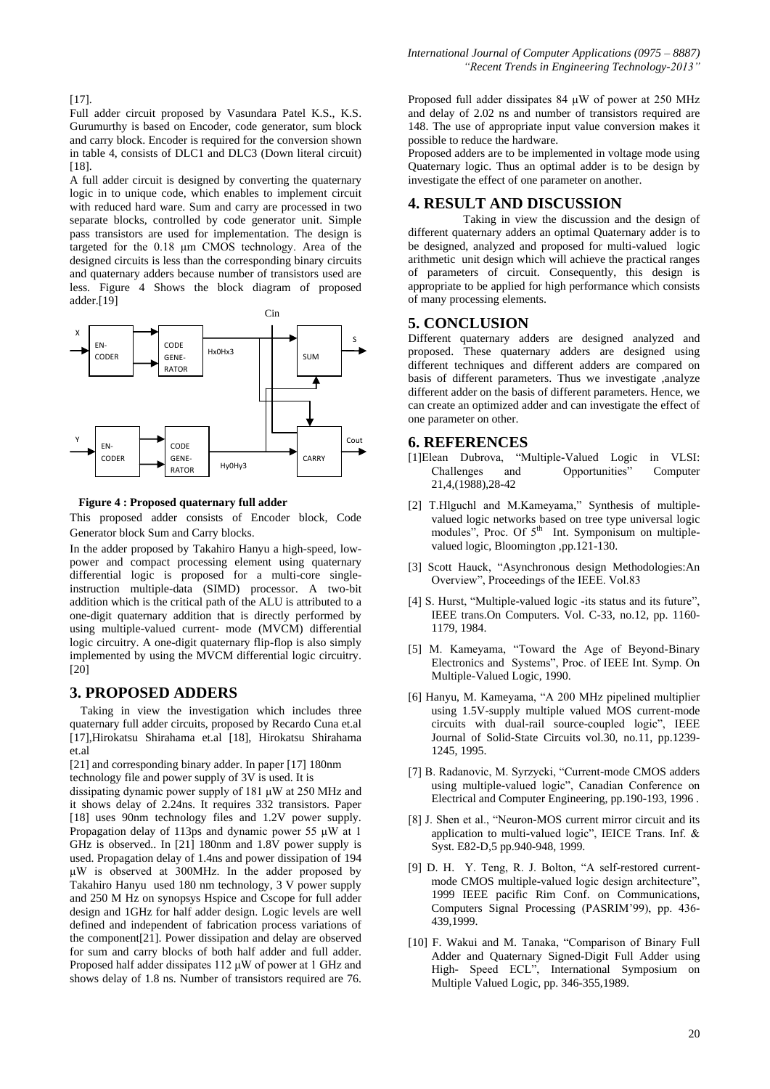[17].

Full adder circuit proposed by Vasundara Patel K.S., K.S. Gurumurthy is based on Encoder, code generator, sum block and carry block. Encoder is required for the conversion shown in table 4, consists of DLC1 and DLC3 (Down literal circuit) [18].

A full adder circuit is designed by converting the quaternary logic in to unique code, which enables to implement circuit with reduced hard ware. Sum and carry are processed in two separate blocks, controlled by code generator unit. Simple pass transistors are used for implementation. The design is targeted for the 0.18 μm CMOS technology. Area of the designed circuits is less than the corresponding binary circuits and quaternary adders because number of transistors used are less. Figure 4 Shows the block diagram of proposed adder.[19]



**Figure 4 : Proposed quaternary full adder** 

This proposed adder consists of Encoder block, Code Generator block Sum and Carry blocks.

In the adder proposed by Takahiro Hanyu a high-speed, lowpower and compact processing element using quaternary differential logic is proposed for a multi-core singleinstruction multiple-data (SIMD) processor. A two-bit addition which is the critical path of the ALU is attributed to a one-digit quaternary addition that is directly performed by using multiple-valued current- mode (MVCM) differential logic circuitry. A one-digit quaternary flip-flop is also simply implemented by using the MVCM differential logic circuitry. [20]

### **3. PROPOSED ADDERS**

 Taking in view the investigation which includes three quaternary full adder circuits, proposed by Recardo Cuna et.al [17],Hirokatsu Shirahama et.al [18], Hirokatsu Shirahama et.al

[21] and corresponding binary adder. In paper [17] 180nm technology file and power supply of 3V is used. It is

dissipating dynamic power supply of 181 μW at 250 MHz and it shows delay of 2.24ns. It requires 332 transistors. Paper [18] uses 90nm technology files and 1.2V power supply. Propagation delay of 113ps and dynamic power 55 μW at 1 GHz is observed.. In [21] 180nm and 1.8V power supply is used. Propagation delay of 1.4ns and power dissipation of 194 μW is observed at 300MHz. In the adder proposed by Takahiro Hanyu used 180 nm technology, 3 V power supply and 250 M Hz on synopsys Hspice and Cscope for full adder design and 1GHz for half adder design. Logic levels are well defined and independent of fabrication process variations of the component[21]. Power dissipation and delay are observed for sum and carry blocks of both half adder and full adder. Proposed half adder dissipates 112 μW of power at 1 GHz and shows delay of 1.8 ns. Number of transistors required are 76.

Proposed full adder dissipates 84 μW of power at 250 MHz and delay of 2.02 ns and number of transistors required are 148. The use of appropriate input value conversion makes it possible to reduce the hardware.

Proposed adders are to be implemented in voltage mode using Quaternary logic. Thus an optimal adder is to be design by investigate the effect of one parameter on another.

## **4. RESULT AND DISCUSSION**

 Taking in view the discussion and the design of different quaternary adders an optimal Quaternary adder is to be designed, analyzed and proposed for multi-valued logic arithmetic unit design which will achieve the practical ranges of parameters of circuit. Consequently, this design is appropriate to be applied for high performance which consists of many processing elements.

#### **5. CONCLUSION**

Different quaternary adders are designed analyzed and proposed. These quaternary adders are designed using different techniques and different adders are compared on basis of different parameters. Thus we investigate ,analyze different adder on the basis of different parameters. Hence, we can create an optimized adder and can investigate the effect of one parameter on other.

### **6. REFERENCES**

- [1]Elean Dubrova, "Multiple-Valued Logic in VLSI: Challenges and Opportunities" Computer 21,4,(1988),28-42
- [2] T.Hlguchl and M.Kameyama," Synthesis of multiplevalued logic networks based on tree type universal logic modules", Proc. Of 5<sup>th</sup> Int. Symponisum on multiplevalued logic, Bloomington ,pp.121-130.
- [3] Scott Hauck, "Asynchronous design Methodologies:An Overview", Proceedings of the IEEE. Vol.83
- [4] S. Hurst, "Multiple-valued logic -its status and its future", IEEE trans.On Computers. Vol. C-33, no.12, pp. 1160- 1179, 1984.
- [5] M. Kameyama, "Toward the Age of Beyond-Binary Electronics and Systems", Proc. of IEEE Int. Symp. On Multiple-Valued Logic, 1990.
- [6] Hanyu, M. Kameyama, "A 200 MHz pipelined multiplier using 1.5V-supply multiple valued MOS current-mode circuits with dual-rail source-coupled logic", IEEE Journal of Solid-State Circuits vol.30, no.11, pp.1239- 1245, 1995.
- [7] B. Radanovic, M. Syrzycki, "Current-mode CMOS adders using multiple-valued logic", Canadian Conference on Electrical and Computer Engineering, pp.190-193, 1996 .
- [8] J. Shen et al., "Neuron-MOS current mirror circuit and its application to multi-valued logic", IEICE Trans. Inf. & Syst. E82-D,5 pp.940-948, 1999.
- [9] D. H. Y. Teng, R. J. Bolton, "A self-restored currentmode CMOS multiple-valued logic design architecture", 1999 IEEE pacific Rim Conf. on Communications, Computers Signal Processing (PASRIM'99), pp. 436- 439,1999.
- [10] F. Wakui and M. Tanaka, "Comparison of Binary Full Adder and Quaternary Signed-Digit Full Adder using High- Speed ECL", International Symposium on Multiple Valued Logic, pp. 346-355,1989.